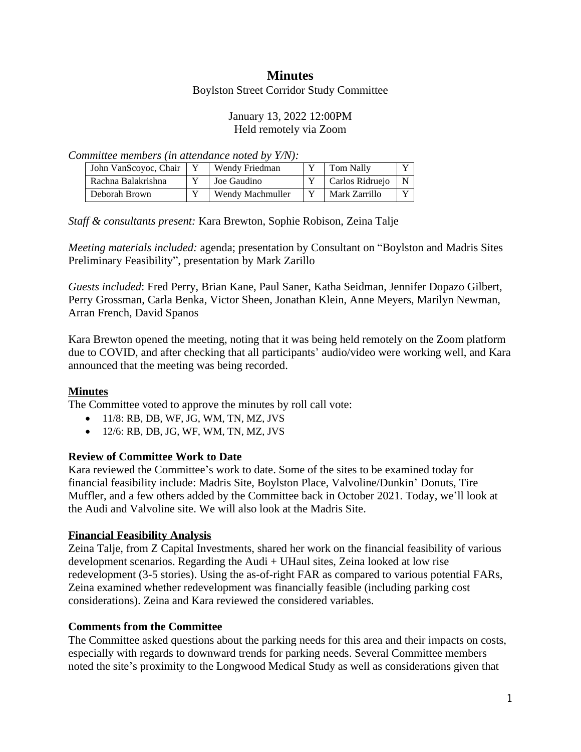# **Minutes**

Boylston Street Corridor Study Committee

#### January 13, 2022 12:00PM Held remotely via Zoom

*Committee members (in attendance noted by Y/N):*

| John VanScovoc, Chair | Wendy Friedman   | Tom Nally       | $\mathbf{x}$ |
|-----------------------|------------------|-----------------|--------------|
| Rachna Balakrishna    | Joe Gaudino      | Carlos Ridruejo | N            |
| Deborah Brown         | Wendy Machmuller | Mark Zarrillo   | $\mathbf{x}$ |

*Staff & consultants present:* Kara Brewton, Sophie Robison, Zeina Talje

*Meeting materials included:* agenda; presentation by Consultant on "Boylston and Madris Sites Preliminary Feasibility", presentation by Mark Zarillo

*Guests included*: Fred Perry, Brian Kane, Paul Saner, Katha Seidman, Jennifer Dopazo Gilbert, Perry Grossman, Carla Benka, Victor Sheen, Jonathan Klein, Anne Meyers, Marilyn Newman, Arran French, David Spanos

Kara Brewton opened the meeting, noting that it was being held remotely on the Zoom platform due to COVID, and after checking that all participants' audio/video were working well, and Kara announced that the meeting was being recorded.

## **Minutes**

The Committee voted to approve the minutes by roll call vote:

- $\bullet$  11/8: RB, DB, WF, JG, WM, TN, MZ, JVS
- 12/6: RB, DB, JG, WF, WM, TN, MZ, JVS

## **Review of Committee Work to Date**

Kara reviewed the Committee's work to date. Some of the sites to be examined today for financial feasibility include: Madris Site, Boylston Place, Valvoline/Dunkin' Donuts, Tire Muffler, and a few others added by the Committee back in October 2021. Today, we'll look at the Audi and Valvoline site. We will also look at the Madris Site.

## **Financial Feasibility Analysis**

Zeina Talje, from Z Capital Investments, shared her work on the financial feasibility of various development scenarios. Regarding the Audi + UHaul sites, Zeina looked at low rise redevelopment (3-5 stories). Using the as-of-right FAR as compared to various potential FARs, Zeina examined whether redevelopment was financially feasible (including parking cost considerations). Zeina and Kara reviewed the considered variables.

#### **Comments from the Committee**

The Committee asked questions about the parking needs for this area and their impacts on costs, especially with regards to downward trends for parking needs. Several Committee members noted the site's proximity to the Longwood Medical Study as well as considerations given that